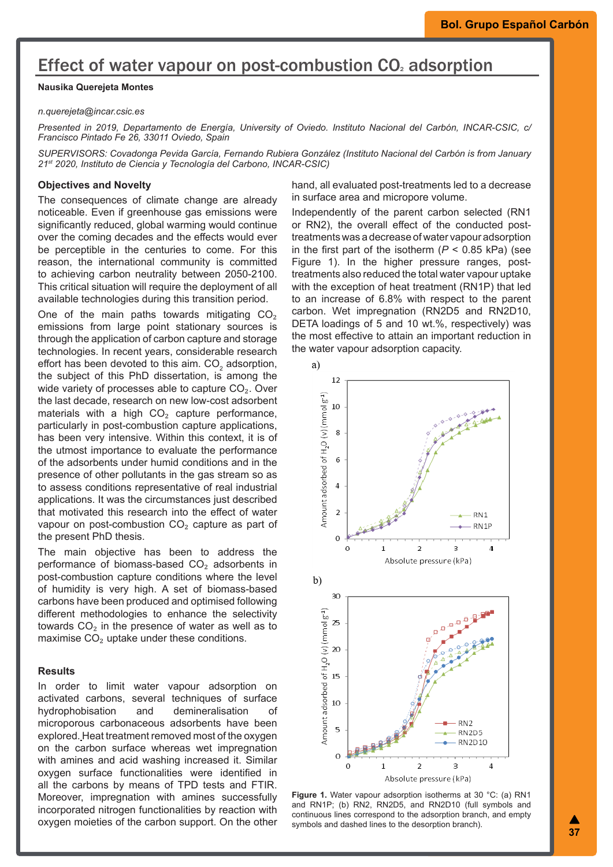# Effect of water vapour on post-combustion CO<sub>2</sub> adsorption

# **Nausika Querejeta Montes**

#### *n.querejeta@incar.csic.es*

*Presented in 2019, Departamento de Energía, University of Oviedo. Instituto Nacional del Carbón, INCAR-CSIC, c/ Francisco Pintado Fe 26, 33011 Oviedo, Spain*

*SUPERVISORS: Covadonga Pevida García, Fernando Rubiera González (Instituto Nacional del Carbón is from January 21st 2020, Instituto de Ciencia y Tecnología del Carbono, INCAR-CSIC)*

### **Objectives and Novelty**

The consequences of climate change are already noticeable. Even if greenhouse gas emissions were significantly reduced, global warming would continue over the coming decades and the effects would ever be perceptible in the centuries to come. For this reason, the international community is committed to achieving carbon neutrality between 2050-2100. This critical situation will require the deployment of all available technologies during this transition period.

One of the main paths towards mitigating  $CO<sub>2</sub>$ emissions from large point stationary sources is through the application of carbon capture and storage technologies. In recent years, considerable research effort has been devoted to this aim. CO $_{\textrm{\tiny{2}}}$  adsorption, the subject of this PhD dissertation, is among the wide variety of processes able to capture CO<sub>2</sub>. Over the last decade, research on new low-cost adsorbent materials with a high  $CO<sub>2</sub>$  capture performance, particularly in post-combustion capture applications, has been very intensive. Within this context, it is of the utmost importance to evaluate the performance of the adsorbents under humid conditions and in the presence of other pollutants in the gas stream so as to assess conditions representative of real industrial applications. It was the circumstances just described that motivated this research into the effect of water vapour on post-combustion  $CO<sub>2</sub>$  capture as part of the present PhD thesis.

The main objective has been to address the performance of biomass-based CO<sub>2</sub> adsorbents in post-combustion capture conditions where the level of humidity is very high. A set of biomass-based carbons have been produced and optimised following different methodologies to enhance the selectivity towards  $CO<sub>2</sub>$  in the presence of water as well as to maximise  $CO<sub>2</sub>$  uptake under these conditions.

#### **Results**

In order to limit water vapour adsorption on activated carbons, several techniques of surface hydrophobisation and demineralisation of microporous carbonaceous adsorbents have been explored. Heat treatment removed most of the oxygen on the carbon surface whereas wet impregnation with amines and acid washing increased it. Similar oxygen surface functionalities were identified in all the carbons by means of TPD tests and FTIR. Moreover, impregnation with amines successfully incorporated nitrogen functionalities by reaction with oxygen moieties of the carbon support. On the other

hand, all evaluated post-treatments led to a decrease in surface area and micropore volume.

Independently of the parent carbon selected (RN1 or RN2), the overall effect of the conducted posttreatments was a decrease of water vapour adsorption in the first part of the isotherm  $(P < 0.85$  kPa) (see Figure 1). In the higher pressure ranges, posttreatments also reduced the total water vapour uptake with the exception of heat treatment (RN1P) that led to an increase of 6.8% with respect to the parent carbon. Wet impregnation (RN2D5 and RN2D10, DETA loadings of 5 and 10 wt.%, respectively) was the most effective to attain an important reduction in the water vapour adsorption capacity.



**Figure 1.** Water vapour adsorption isotherms at 30 °C: (a) RN1 and RN1P; (b) RN2, RN2D5, and RN2D10 (full symbols and continuous lines correspond to the adsorption branch, and empty symbols and dashed lines to the desorption branch).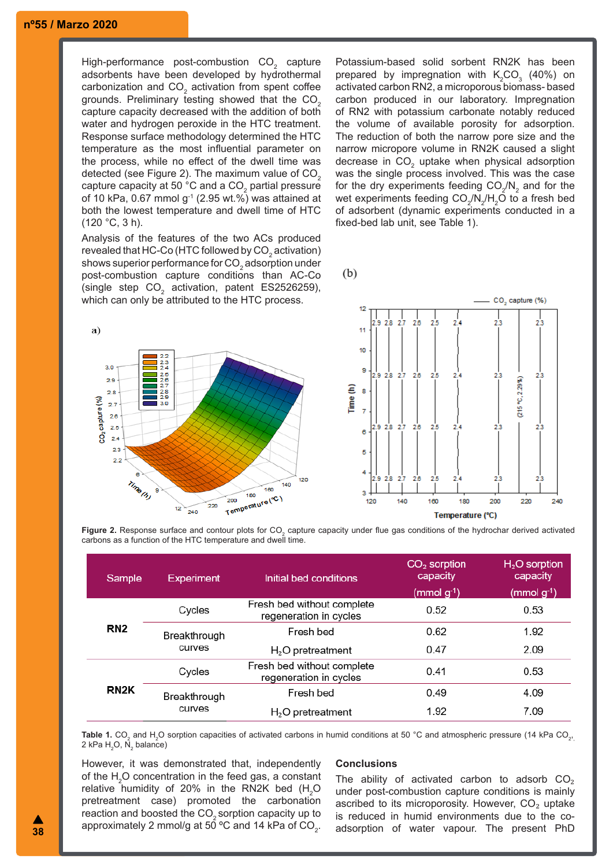# **nº55 / Marzo 2020**

High-performance post-combustion  $\mathsf{CO}_2^-$  capture adsorbents have been developed by hydrothermal carbonization and CO<sub>2</sub> activation from spent coffee grounds. Preliminary testing showed that the CO<sub>2</sub> capture capacity decreased with the addition of both water and hydrogen peroxide in the HTC treatment. Response surface methodology determined the HTC temperature as the most influential parameter on the process, while no effect of the dwell time was detected (see Figure 2). The maximum value of  $CO<sub>2</sub>$ capture capacity at 50 °C and a CO $_{\rm 2}$  partial pressure of 10 kPa, 0.67 mmol  $g^{-1}$  (2.95 wt.%) was attained at both the lowest temperature and dwell time of HTC (120 °C, 3 h).

Analysis of the features of the two ACs produced revealed that HC-Co (HTC followed by  $\mathsf{CO}_2$  activation) shows superior performance for  $\mathrm{CO}_2$  adsorption under post-combustion capture conditions than AC-Co (single step  $CO<sub>2</sub>$  activation, patent ES2526259), which can only be attributed to the HTC process.

Potassium-based solid sorbent RN2K has been prepared by impregnation with  $K_2CO_3$  (40%) on activated carbon RN2, a microporous biomass- based carbon produced in our laboratory. Impregnation of RN2 with potassium carbonate notably reduced the volume of available porosity for adsorption. The reduction of both the narrow pore size and the narrow micropore volume in RN2K caused a slight decrease in CO $_2$  uptake when physical adsorption was the single process involved. This was the case for the dry experiments feeding  $\mathsf{CO}_2/\mathsf{N}_2$  and for the wet experiments feeding CO $_2$ /N $_2$ /H $_2$ O to a fresh bed of adsorbent (dynamic experiments conducted in a fixed-bed lab unit, see Table 1).

CO<sub>2</sub> capture (%)

 $(b)$ 



**Figure 2.** Response surface and contour plots for CO<sub>2</sub> capture capacity under flue gas conditions of the hydrochar derived activated carbons as a function of the HTC temperature and dwell time.

| Sample            | <b>Experiment</b>      | Initial bed conditions                               | $CO2$ sorption<br>capacity<br>$(mmol g-1)$ | $H2O$ sorption<br>capacity<br>$(mmolg-1)$ |
|-------------------|------------------------|------------------------------------------------------|--------------------------------------------|-------------------------------------------|
| RN <sub>2</sub>   | Cycles                 | Fresh bed without complete<br>regeneration in cycles | 0.52                                       | 0.53                                      |
|                   | Breakthrough<br>curves | Fresh bed                                            | 0.62                                       | 1.92                                      |
|                   |                        | $H2O$ pretreatment                                   | 0.47                                       | 2.09                                      |
| RN <sub>2</sub> K | Cycles                 | Fresh bed without complete<br>regeneration in cycles | 0.41                                       | 0.53                                      |
|                   | Breakthrough<br>curves | Fresh bed                                            | 0.49                                       | 4.09                                      |
|                   |                        | $H2O$ pretreatment                                   | 1.92                                       | 7.09                                      |

**Table 1.** CO $_2$  and H $_2$ O sorption capacities of activated carbons in humid conditions at 50 °C and atmospheric pressure (14 kPa CO $_{2^\prime}$ 2 kPa H $_{\textrm{\tiny{2}}}$ O, N $_{\textrm{\tiny{2}}}$  balance)

However, it was demonstrated that, independently of the  $\textsf{H}_{\textsf{2}}\textsf{O}$  concentration in the feed gas, a constant relative humidity of 20% in the RN2K bed  $(H<sub>2</sub>O)$ pretreatment case) promoted the carbonation reaction and boosted the  $CO<sub>2</sub>$  sorption capacity up to approximately 2 mmol/g at 50 °C and 14 kPa of CO $_{\textrm{\tiny{2}}}$ .

#### **Conclusions**

The ability of activated carbon to adsorb  $CO<sub>2</sub>$ under post-combustion capture conditions is mainly ascribed to its microporosity. However, CO₂ uptake is reduced in humid environments due to the coadsorption of water vapour. The present PhD